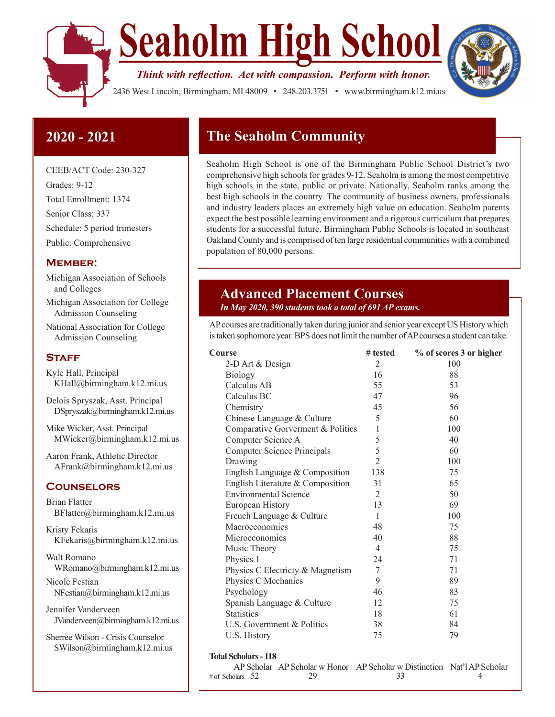

**Seaholm High School**

*Think with reflection. Act with compassion. Perform with honor.* 



2436 West Lincoln, Birmingham, MI 48009 • 248.203.3751 • www.birmingham.k12.mi.us

# **2020 - 2021**

CEEB/ACT Code: 230-327 Grades: 9-12 Total Enrollment: 1374 Senior Class: 337 Schedule: 5 period trimesters Public: Comprehensive

### **Member:**

- Michigan Association of Schools and Colleges
- Michigan Association for College Admission Counseling
- National Association for College Admission Counseling

### **STAFF**

Kyle Hall, Principal KHall@birmingham.k12.mi.us

Delois Spryszak, Asst. Principal DSpryszak@birmingham.k12.mi.us

Mike Wicker, Asst. Principal MWicker@birmingham.k12.mi.us

Aaron Frank, Athletic Director AFrank@birmingham.k12.mi.us

### **Counselors**

Brian Flatter BFlatter@birmingham.k12.mi.us Kristy Fekaris

KFekaris@birmingham.k12.mi.us

Walt Romano WRomano@birmingham.k12.mi.us

Nicole Festian NFestian@birmingham.k12.mi.us

Jennifer Vanderveen JVanderveen@birmingham.k12.mi.us

Sherree Wilson - Crisis Counselor SWilson@birmingham.k12.mi.us

# **The Seaholm Community**

Seaholm High School is one of the Birmingham Public School District's two comprehensive high schools for grades 9-12. Seaholm is among the most competitive high schools in the state, public or private. Nationally, Seaholm ranks among the best high schools in the country. The community of business owners, professionals and industry leaders places an extremely high value on education. Seaholm parents expect the best possible learning environment and a rigorous curriculum that prepares students for a successful future. Birmingham Public Schools is located in southeast Oakland County and is comprised of ten large residential communities with a combined population of 80,000 persons.

# **Advanced Placement Courses**

### *In May 2020, 390 students took a total of 691 AP exams.*

AP courses are traditionally taken during junior and senior year except US History which is taken sophomore year. BPS does not limit the number of AP courses a student can take.

| Course                            | # tested       | % of scores 3 or higher |  |
|-----------------------------------|----------------|-------------------------|--|
| 2-D Art & Design                  | $\overline{2}$ | 100                     |  |
| Biology                           | 16             | 88                      |  |
| Calculus AB                       | 55             | 53                      |  |
| Calculus BC                       | 47             | 96                      |  |
| Chemistry                         | 45             | 56                      |  |
| Chinese Language & Culture        | 5              | 60                      |  |
| Comparative Gorverment & Politics | $\mathbf{1}$   | 100                     |  |
| Computer Science A                | 5              | 40                      |  |
| Computer Science Principals       | 5              | 60                      |  |
| Drawing                           | $\overline{2}$ | 100                     |  |
| English Language & Composition    | 138            | 75                      |  |
| English Literature & Composition  | 31             | 65                      |  |
| <b>Environmental Science</b>      | 2              | 50                      |  |
| European History                  | 13             | 69                      |  |
| French Language & Culture         | 1              | 100                     |  |
| Macroeconomics                    | 48             | 75                      |  |
| Microeconomics                    | 40             | 88                      |  |
| Music Theory                      | 4              | 75                      |  |
| Physics 1                         | 24             | 71                      |  |
| Physics C Electricty & Magnetism  | $\tau$         | 71                      |  |
| Physics C Mechanics               | 9              | 89                      |  |
| Psychology                        | 46             | 83                      |  |
| Spanish Language & Culture        | 12             | 75                      |  |
| <b>Statistics</b>                 | 18             | 61                      |  |
| U.S. Government & Politics        | 38             | 84                      |  |
| U.S. History                      | 75             | 79                      |  |
| <b>Total Scholars - 118</b>       |                |                         |  |

AP Scholar AP Scholar w Honor AP Scholar w Distinction Nat'l AP Scholar

 $\#$  of Scholars 52 29 33